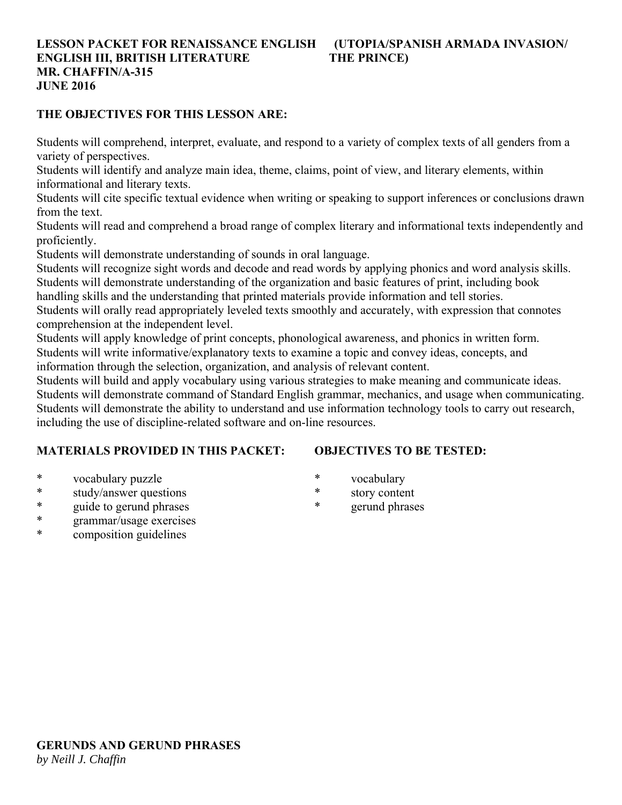#### **LESSON PACKET FOR RENAISSANCE ENGLISH (UTOPIA/SPANISH ARMADA INVASION/ ENGLISH III, BRITISH LITERATURE THE PRINCE) MR. CHAFFIN/A-315 JUNE 2016**

#### **THE OBJECTIVES FOR THIS LESSON ARE:**

Students will comprehend, interpret, evaluate, and respond to a variety of complex texts of all genders from a variety of perspectives.

Students will identify and analyze main idea, theme, claims, point of view, and literary elements, within informational and literary texts.

Students will cite specific textual evidence when writing or speaking to support inferences or conclusions drawn from the text.

Students will read and comprehend a broad range of complex literary and informational texts independently and proficiently.

Students will demonstrate understanding of sounds in oral language.

Students will recognize sight words and decode and read words by applying phonics and word analysis skills. Students will demonstrate understanding of the organization and basic features of print, including book

handling skills and the understanding that printed materials provide information and tell stories.

Students will orally read appropriately leveled texts smoothly and accurately, with expression that connotes comprehension at the independent level.

Students will apply knowledge of print concepts, phonological awareness, and phonics in written form. Students will write informative/explanatory texts to examine a topic and convey ideas, concepts, and information through the selection, organization, and analysis of relevant content.

Students will build and apply vocabulary using various strategies to make meaning and communicate ideas. Students will demonstrate command of Standard English grammar, mechanics, and usage when communicating. Students will demonstrate the ability to understand and use information technology tools to carry out research, including the use of discipline-related software and on-line resources.

#### **MATERIALS PROVIDED IN THIS PACKET:**

## **OBJECTIVES TO BE TESTED:**

- \* vocabulary puzzle
- \* study/answer questions
- \* guide to gerund phrases
- \* grammar/usage exercises
- \* composition guidelines
- \* vocabulary
- \* story content
- \* gerund phrases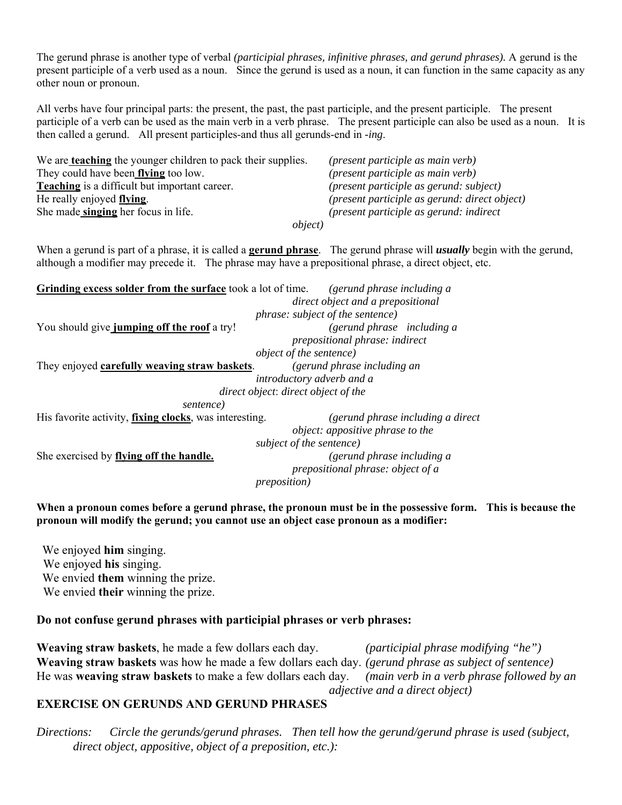The gerund phrase is another type of verbal *(participial phrases, infinitive phrases, and gerund phrases).* A gerund is the present participle of a verb used as a noun. Since the gerund is used as a noun, it can function in the same capacity as any other noun or pronoun.

All verbs have four principal parts: the present, the past, the past participle, and the present participle. The present participle of a verb can be used as the main verb in a verb phrase. The present participle can also be used as a noun. It is then called a gerund. All present participles-and thus all gerunds-end in *-ing*.

We are **teaching** the younger children to pack their supplies. *(present participle as main verb)* They could have been **flying** too low. *(present participle as main verb)* **Teaching** is a difficult but important career. *(present participle as gerund: subject)* He really enjoyed **flying**. *(present participle as gerund: direct object)* She made **singing** her focus in life. *(present participle as gerund: indirect object)*

When a gerund is part of a phrase, it is called a **gerund phrase**. The gerund phrase will *usually* begin with the gerund, although a modifier may precede it. The phrase may have a prepositional phrase, a direct object, etc.

| Grinding excess solder from the surface took a lot of time.    | (gerund phrase including a              |  |  |
|----------------------------------------------------------------|-----------------------------------------|--|--|
|                                                                | direct object and a prepositional       |  |  |
|                                                                | <i>phrase: subject of the sentence)</i> |  |  |
| You should give jumping off the roof a try!                    | (gerund phrase including a              |  |  |
|                                                                | prepositional phrase: indirect          |  |  |
|                                                                | <i>object of the sentence</i> )         |  |  |
| They enjoyed carefully weaving straw baskets.                  | (gerund phrase including an             |  |  |
|                                                                | introductory adverb and a               |  |  |
|                                                                | direct object: direct object of the     |  |  |
| sentence)                                                      |                                         |  |  |
| His favorite activity, <i>fixing clocks</i> , was interesting. | (gerund phrase including a direct)      |  |  |
|                                                                | <i>object: appositive phrase to the</i> |  |  |
|                                                                | subject of the sentence)                |  |  |
| She exercised by flying off the handle.                        | (gerund phrase including a              |  |  |
|                                                                | prepositional phrase: object of a       |  |  |
|                                                                | <i>preposition</i> )                    |  |  |

**When a pronoun comes before a gerund phrase, the pronoun must be in the possessive form. This is because the pronoun will modify the gerund; you cannot use an object case pronoun as a modifier:**

We enjoyed **him** singing. We enjoyed **his** singing. We envied **them** winning the prize. We envied **their** winning the prize.

#### **Do not confuse gerund phrases with participial phrases or verb phrases:**

**Weaving straw baskets**, he made a few dollars each day. *(participial phrase modifying "he")* **Weaving straw baskets** was how he made a few dollars each day. *(gerund phrase as subject of sentence)* He was **weaving straw baskets** to make a few dollars each day. *(main verb in a verb phrase followed by an adjective and a direct object)* 

#### **EXERCISE ON GERUNDS AND GERUND PHRASES**

*Directions: Circle the gerunds/gerund phrases. Then tell how the gerund/gerund phrase is used (subject, direct object, appositive, object of a preposition, etc.):*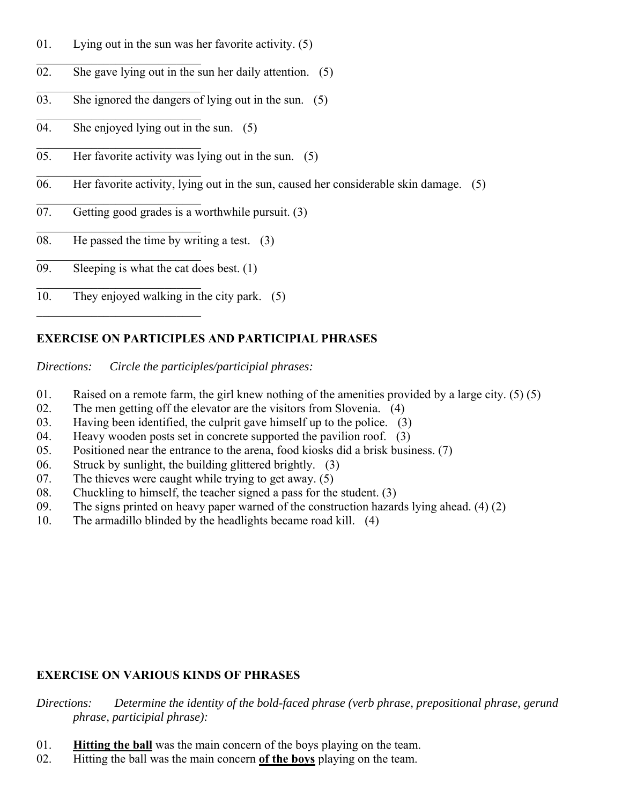- 01. Lying out in the sun was her favorite activity. (5)
- 02. She gave lying out in the sun her daily attention. (5)
- $\overline{03}$ . She ignored the dangers of lying out in the sun. (5)
- 04. She enjoyed lying out in the sun. (5)
- 05. Her favorite activity was lying out in the sun. (5)
- 06. Her favorite activity, lying out in the sun, caused her considerable skin damage. (5)
- 07. Getting good grades is a worthwhile pursuit. (3)
- 08. He passed the time by writing a test. (3)
- $\overline{09}$ . Sleeping is what the cat does best. (1)
- 10. They enjoyed walking in the city park. (5)

# **EXERCISE ON PARTICIPLES AND PARTICIPIAL PHRASES**

*Directions: Circle the participles/participial phrases:*

- 01. Raised on a remote farm, the girl knew nothing of the amenities provided by a large city.  $(5)(5)$
- 02. The men getting off the elevator are the visitors from Slovenia. (4)
- 03. Having been identified, the culprit gave himself up to the police. (3)
- 04. Heavy wooden posts set in concrete supported the pavilion roof. (3)
- 05. Positioned near the entrance to the arena, food kiosks did a brisk business. (7)
- 06. Struck by sunlight, the building glittered brightly. (3)
- 07. The thieves were caught while trying to get away. (5)
- 08. Chuckling to himself, the teacher signed a pass for the student. (3)
- 09. The signs printed on heavy paper warned of the construction hazards lying ahead. (4) (2)
- 10. The armadillo blinded by the headlights became road kill. (4)

# **EXERCISE ON VARIOUS KINDS OF PHRASES**

*Directions: Determine the identity of the bold-faced phrase (verb phrase, prepositional phrase, gerund phrase, participial phrase):*

- 01. **Hitting the ball** was the main concern of the boys playing on the team.
- 02. Hitting the ball was the main concern **of the boys** playing on the team.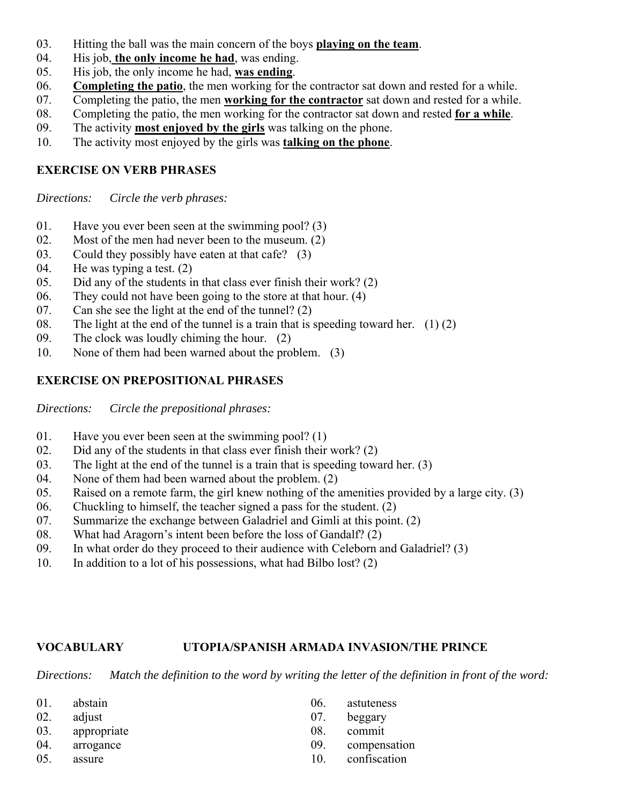- 03. Hitting the ball was the main concern of the boys **playing on the team**.
- 04. His job, **the only income he had**, was ending.
- 05. His job, the only income he had, **was ending**.
- 06. **Completing the patio**, the men working for the contractor sat down and rested for a while.
- 07. Completing the patio, the men **working for the contractor** sat down and rested for a while.
- 08. Completing the patio, the men working for the contractor sat down and rested **for a while**.
- 09. The activity **most enjoyed by the girls** was talking on the phone.
- 10. The activity most enjoyed by the girls was **talking on the phone**.

## **EXERCISE ON VERB PHRASES**

*Directions: Circle the verb phrases:*

- 01. Have you ever been seen at the swimming pool? (3)
- 02. Most of the men had never been to the museum. (2)
- 03. Could they possibly have eaten at that cafe? (3)
- 04. He was typing a test. (2)
- 05. Did any of the students in that class ever finish their work? (2)
- 06. They could not have been going to the store at that hour. (4)
- 07. Can she see the light at the end of the tunnel? (2)
- 08. The light at the end of the tunnel is a train that is speeding toward her.  $(1)(2)$
- 09. The clock was loudly chiming the hour. (2)
- 10. None of them had been warned about the problem. (3)

## **EXERCISE ON PREPOSITIONAL PHRASES**

*Directions: Circle the prepositional phrases:*

- 01. Have you ever been seen at the swimming pool? (1)
- 02. Did any of the students in that class ever finish their work? (2)
- 03. The light at the end of the tunnel is a train that is speeding toward her. (3)
- 04. None of them had been warned about the problem. (2)
- 05. Raised on a remote farm, the girl knew nothing of the amenities provided by a large city. (3)
- 06. Chuckling to himself, the teacher signed a pass for the student. (2)
- 07. Summarize the exchange between Galadriel and Gimli at this point. (2)
- 08. What had Aragorn's intent been before the loss of Gandalf? (2)
- 09. In what order do they proceed to their audience with Celeborn and Galadriel? (3)
- 10. In addition to a lot of his possessions, what had Bilbo lost? (2)

#### **VOCABULARY UTOPIA/SPANISH ARMADA INVASION/THE PRINCE**

*Directions: Match the definition to the word by writing the letter of the definition in front of the word:*

| 01. | abstain     | 06. | astuteness   |
|-----|-------------|-----|--------------|
| 02. | adjust      | 07. | beggary      |
| 03. | appropriate | 08. | commit       |
| 04. | arrogance   | 09. | compensation |
| 05. | assure      |     | confiscation |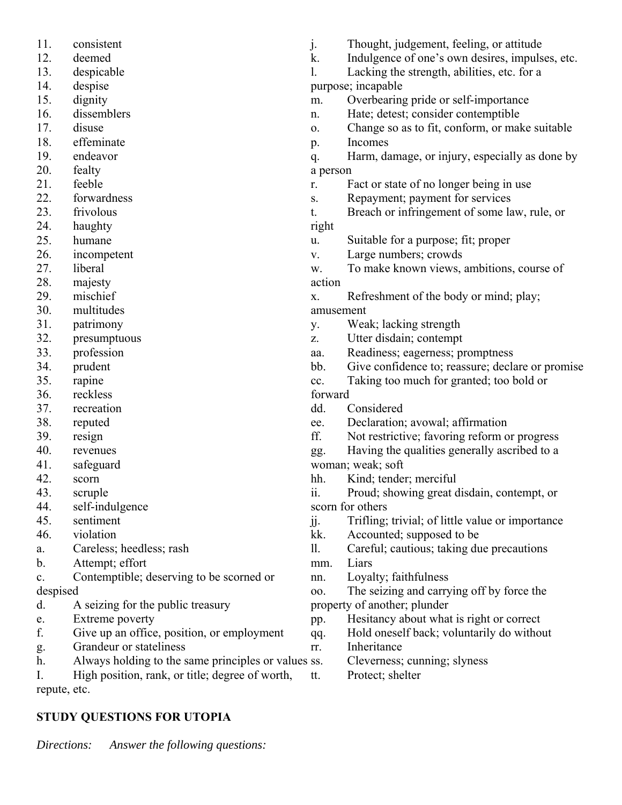| 11.          | consistent                                          | j.         | Thought, judgement, feeling, or attitude         |
|--------------|-----------------------------------------------------|------------|--------------------------------------------------|
| 12.          | deemed                                              | k.         | Indulgence of one's own desires, impulses, etc.  |
| 13.          | despicable                                          | 1.         | Lacking the strength, abilities, etc. for a      |
| 14.          | despise                                             |            | purpose; incapable                               |
| 15.          | dignity                                             | m.         | Overbearing pride or self-importance             |
| 16.          | dissemblers                                         | n.         | Hate; detest; consider contemptible              |
| 17.          | disuse                                              | 0.         | Change so as to fit, conform, or make suitable   |
| 18.          | effeminate                                          | p.         | Incomes                                          |
| 19.          | endeavor                                            | q.         | Harm, damage, or injury, especially as done by   |
| 20.          | fealty                                              | a person   |                                                  |
| 21.          | feeble                                              | r.         | Fact or state of no longer being in use          |
| 22.          | forwardness                                         | S.         | Repayment; payment for services                  |
| 23.          | frivolous                                           | t.         | Breach or infringement of some law, rule, or     |
| 24.          | haughty                                             | right      |                                                  |
| 25.          | humane                                              | u.         | Suitable for a purpose; fit; proper              |
| 26.          | incompetent                                         | V.         | Large numbers; crowds                            |
| 27.          | liberal                                             | W.         | To make known views, ambitions, course of        |
| 28.          | majesty                                             | action     |                                                  |
| 29.          | mischief                                            | X.         | Refreshment of the body or mind; play;           |
| 30.          | multitudes                                          | amusement  |                                                  |
| 31.          | patrimony                                           | y.         | Weak; lacking strength                           |
| 32.          | presumptuous                                        | Z.         | Utter disdain; contempt                          |
| 33.          | profession                                          | aa.        | Readiness; eagerness; promptness                 |
| 34.          | prudent                                             | bb.        | Give confidence to; reassure; declare or promise |
| 35.          | rapine                                              | cc.        | Taking too much for granted; too bold or         |
| 36.          | reckless                                            | forward    |                                                  |
| 37.          | recreation                                          | dd.        | Considered                                       |
| 38.          |                                                     |            | Declaration; avowal; affirmation                 |
|              | reputed                                             | ee.<br>ff. |                                                  |
| 39.          | resign                                              |            | Not restrictive; favoring reform or progress     |
| 40.          | revenues                                            | gg.        | Having the qualities generally ascribed to a     |
| 41.          | safeguard                                           |            | woman; weak; soft                                |
| 42.          | scorn                                               | hh.        | Kind; tender; merciful                           |
| 43.          | scruple                                             | ii.        | Proud; showing great disdain, contempt, or       |
| 44.          | self-indulgence                                     |            | scorn for others                                 |
| 45.          | sentiment                                           | jj.        | Trifling; trivial; of little value or importance |
| 46.          | violation                                           | kk.        | Accounted; supposed to be                        |
| a.           | Careless; heedless; rash                            | 11.        | Careful; cautious; taking due precautions        |
| b.           | Attempt; effort                                     | mm.        | Liars                                            |
| c.           | Contemptible; deserving to be scorned or            | nn.        | Loyalty; faithfulness                            |
| despised     |                                                     | 00.        | The seizing and carrying off by force the        |
| d.           | A seizing for the public treasury                   |            | property of another; plunder                     |
| e.           | Extreme poverty                                     | pp.        | Hesitancy about what is right or correct         |
| f.           | Give up an office, position, or employment          | qq.        | Hold oneself back; voluntarily do without        |
| g.           | Grandeur or stateliness                             | rr.        | Inheritance                                      |
| h.           | Always holding to the same principles or values ss. |            | Cleverness; cunning; slyness                     |
| I.           | High position, rank, or title; degree of worth,     | tt.        | Protect; shelter                                 |
| repute, etc. |                                                     |            |                                                  |

# **STUDY QUESTIONS FOR UTOPIA**

*Directions: Answer the following questions:*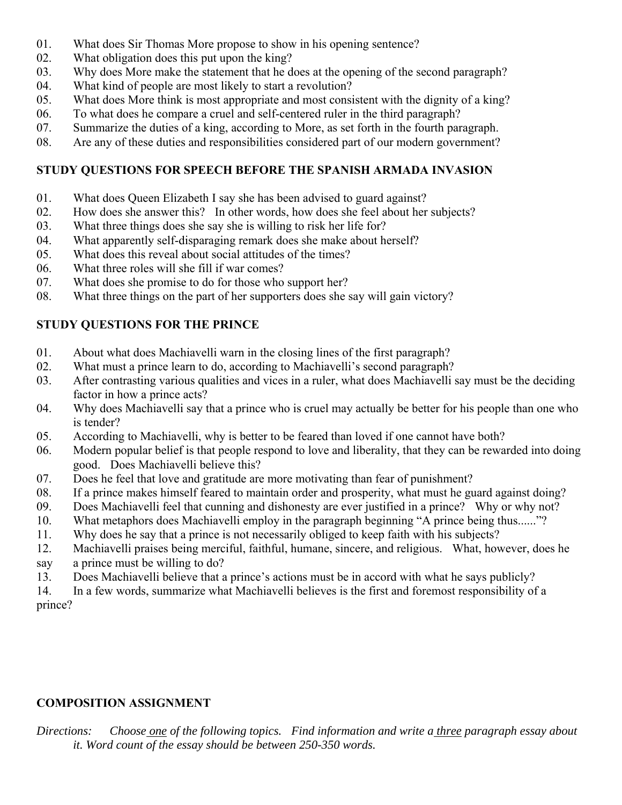- 01. What does Sir Thomas More propose to show in his opening sentence?
- 02. What obligation does this put upon the king?
- 03. Why does More make the statement that he does at the opening of the second paragraph?
- 04. What kind of people are most likely to start a revolution?
- 05. What does More think is most appropriate and most consistent with the dignity of a king?
- 06. To what does he compare a cruel and self-centered ruler in the third paragraph?
- 07. Summarize the duties of a king, according to More, as set forth in the fourth paragraph.
- 08. Are any of these duties and responsibilities considered part of our modern government?

# **STUDY QUESTIONS FOR SPEECH BEFORE THE SPANISH ARMADA INVASION**

- 01. What does Queen Elizabeth I say she has been advised to guard against?
- 02. How does she answer this? In other words, how does she feel about her subjects?
- 03. What three things does she say she is willing to risk her life for?
- 04. What apparently self-disparaging remark does she make about herself?
- 05. What does this reveal about social attitudes of the times?
- 06. What three roles will she fill if war comes?
- 07. What does she promise to do for those who support her?
- 08. What three things on the part of her supporters does she say will gain victory?

# **STUDY QUESTIONS FOR THE PRINCE**

- 01. About what does Machiavelli warn in the closing lines of the first paragraph?
- 02. What must a prince learn to do, according to Machiavelli's second paragraph?
- 03. After contrasting various qualities and vices in a ruler, what does Machiavelli say must be the deciding factor in how a prince acts?
- 04. Why does Machiavelli say that a prince who is cruel may actually be better for his people than one who is tender?
- 05. According to Machiavelli, why is better to be feared than loved if one cannot have both?
- 06. Modern popular belief is that people respond to love and liberality, that they can be rewarded into doing good. Does Machiavelli believe this?
- 07. Does he feel that love and gratitude are more motivating than fear of punishment?
- 08. If a prince makes himself feared to maintain order and prosperity, what must he guard against doing?
- 09. Does Machiavelli feel that cunning and dishonesty are ever justified in a prince? Why or why not?
- 10. What metaphors does Machiavelli employ in the paragraph beginning "A prince being thus......"?
- 11. Why does he say that a prince is not necessarily obliged to keep faith with his subjects?
- 12. Machiavelli praises being merciful, faithful, humane, sincere, and religious. What, however, does he say a prince must be willing to do?
- 13. Does Machiavelli believe that a prince's actions must be in accord with what he says publicly?
- 14. In a few words, summarize what Machiavelli believes is the first and foremost responsibility of a prince?

# **COMPOSITION ASSIGNMENT**

*Directions: Choose one of the following topics. Find information and write a three paragraph essay about it. Word count of the essay should be between 250-350 words.*